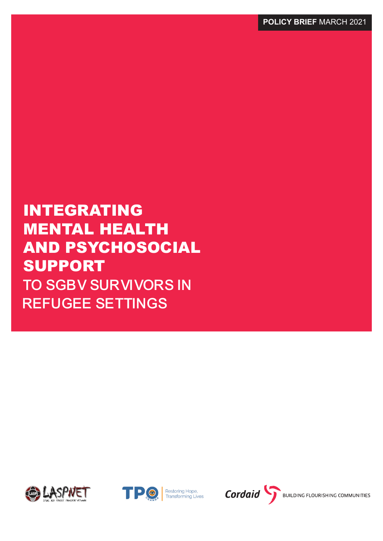INTEGRATING MENTAL HEALTH AND PSYCHOSOCIAL SUPPORT TO SGBV SURVIVORS IN REFUGEE SETTINGS





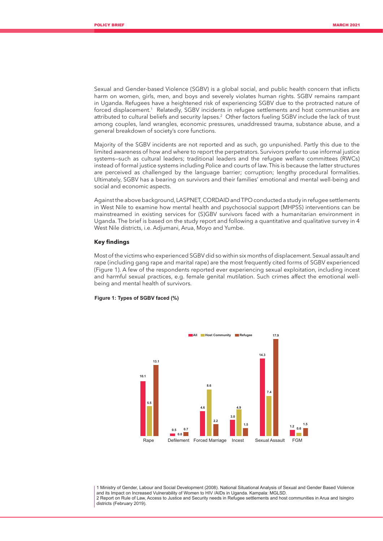Sexual and Gender-based Violence (SGBV) is a global social, and public health concern that inflicts harm on women, girls, men, and boys and severely violates human rights. SGBV remains rampant in Uganda. Refugees have a heightened risk of experiencing SGBV due to the protracted nature of forced displacement.1 Relatedly, SGBV incidents in refugee settlements and host communities are attributed to cultural beliefs and security lapses.<sup>2</sup> Other factors fueling SGBV include the lack of trust among couples, land wrangles, economic pressures, unaddressed trauma, substance abuse, and a general breakdown of society's core functions.

Majority of the SGBV incidents are not reported and as such, go unpunished. Partly this due to the limited awareness of how and where to report the perpetrators. Survivors prefer to use informal justice systems—such as cultural leaders; traditional leaders and the refugee welfare committees (RWCs) instead of formal justice systems including Police and courts of law. This is because the latter structures are perceived as challenged by the language barrier; corruption; lengthy procedural formalities. Ultimately, SGBV has a bearing on survivors and their families' emotional and mental well-being and social and economic aspects.

Against the above background, LASPNET, CORDAID and TPO conducted a study in refugee settlements in West Nile to examine how mental health and psychosocial support (MHPSS) interventions can be mainstreamed in existing services for (S)GBV survivors faced with a humanitarian environment in Uganda. The brief is based on the study report and following a quantitative and qualitative survey in 4 West Nile districts, i.e. Adjumani, Arua, Moyo and Yumbe.

# **Key findings**

Most of the victims who experienced SGBV did so within six months of displacement. Sexual assault and rape (including gang rape and marital rape) are the most frequently cited forms of SGBV experienced (Figure 1). A few of the respondents reported ever experiencing sexual exploitation, including incest and harmful sexual practices, e.g. female genital mutilation. Such crimes affect the emotional wellbeing and mental health of survivors.

## **Figure 1: Types of SGBV faced (%)**



1 Ministry of Gender, Labour and Social Development (2008). National Situational Analysis of Sexual and Gender Based Violence and its Impact on Increased Vulnerability of Women to HIV /AIDs in Uganda. Kampala: MGLSD. 2 Report on Rule of Law, Access to Justice and Security needs in Refugee settlements and host communities in Arua and Isingiro districts (February 2019).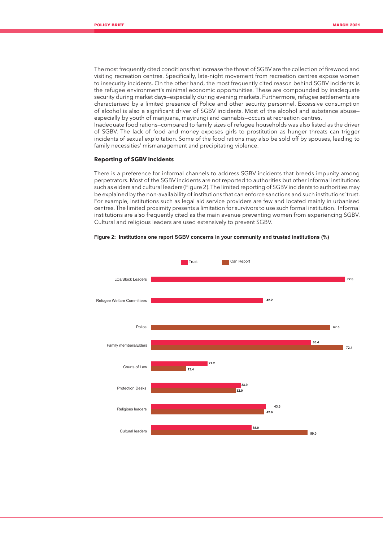The most frequently cited conditions that increase the threat of SGBV are the collection of firewood and visiting recreation centres. Specifically, late-night movement from recreation centres expose women to insecurity incidents. On the other hand, the most frequently cited reason behind SGBV incidents is the refugee environment's minimal economic opportunities. These are compounded by inadequate security during market days—especially during evening markets. Furthermore, refugee settlements are characterised by a limited presence of Police and other security personnel. Excessive consumption of alcohol is also a significant driver of SGBV incidents. Most of the alcohol and substance abuse especially by youth of marijuana, mayirungi and cannabis—occurs at recreation centres.

Inadequate food rations—compared to family sizes of refugee households was also listed as the driver of SGBV. The lack of food and money exposes girls to prostitution as hunger threats can trigger incidents of sexual exploitation. Some of the food rations may also be sold off by spouses, leading to family necessities' mismanagement and precipitating violence.

# **Reporting of SGBV incidents**

There is a preference for informal channels to address SGBV incidents that breeds impunity among perpetrators. Most of the SGBV incidents are not reported to authorities but other informal institutions such as elders and cultural leaders (Figure 2). The limited reporting of SGBV incidents to authorities may be explained by the non-availability of institutions that can enforce sanctions and such institutions' trust. For example, institutions such as legal aid service providers are few and located mainly in urbanised centres. The limited proximity presents a limitation for survivors to use such formal institution. Informal institutions are also frequently cited as the main avenue preventing women from experiencing SGBV. Cultural and religious leaders are used extensively to prevent SGBV.



#### **Figure 2: Institutions one report SGBV concerns in your community and trusted institutions (%)**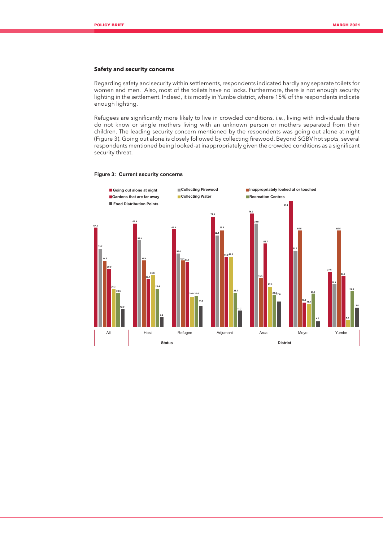# **Safety and security concerns**

Regarding safety and security within settlements, respondents indicated hardly any separate toilets for women and men. Also, most of the toilets have no locks. Furthermore, there is not enough security lighting in the settlement. Indeed, it is mostly in Yumbe district, where 15% of the respondents indicate enough lighting.

Refugees are significantly more likely to live in crowded conditions, i.e., living with individuals there do not know or single mothers living with an unknown person or mothers separated from their children. The leading security concern mentioned by the respondents was going out alone at night (Figure 3). Going out alone is closely followed by collecting firewood. Beyond SGBV hot spots, several respondents mentioned being looked-at inappropriately given the crowded conditions as a significant security threat.

### **Figure 3: Current security concerns**